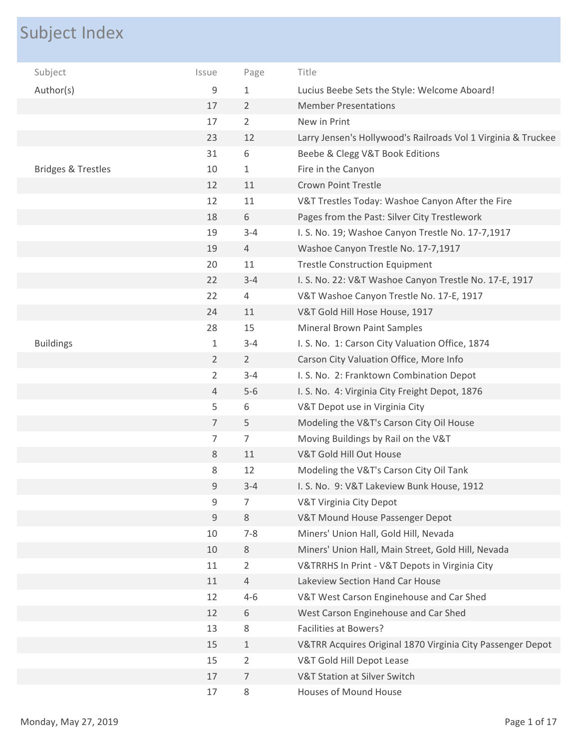## Subject Index

| Subject                       | Issue          | Page           | Title                                                         |
|-------------------------------|----------------|----------------|---------------------------------------------------------------|
| Author(s)                     | 9              | 1              | Lucius Beebe Sets the Style: Welcome Aboard!                  |
|                               | 17             | $\overline{2}$ | <b>Member Presentations</b>                                   |
|                               | 17             | 2              | New in Print                                                  |
|                               | 23             | 12             | Larry Jensen's Hollywood's Railroads Vol 1 Virginia & Truckee |
|                               | 31             | 6              | Beebe & Clegg V&T Book Editions                               |
| <b>Bridges &amp; Trestles</b> | 10             | 1              | Fire in the Canyon                                            |
|                               | 12             | 11             | <b>Crown Point Trestle</b>                                    |
|                               | 12             | 11             | V&T Trestles Today: Washoe Canyon After the Fire              |
|                               | 18             | 6              | Pages from the Past: Silver City Trestlework                  |
|                               | 19             | $3 - 4$        | I. S. No. 19; Washoe Canyon Trestle No. 17-7,1917             |
|                               | 19             | $\overline{4}$ | Washoe Canyon Trestle No. 17-7,1917                           |
|                               | 20             | 11             | <b>Trestle Construction Equipment</b>                         |
|                               | 22             | $3 - 4$        | I. S. No. 22: V&T Washoe Canyon Trestle No. 17-E, 1917        |
|                               | 22             | 4              | V&T Washoe Canyon Trestle No. 17-E, 1917                      |
|                               | 24             | 11             | V&T Gold Hill Hose House, 1917                                |
|                               | 28             | 15             | <b>Mineral Brown Paint Samples</b>                            |
| <b>Buildings</b>              | 1              | $3 - 4$        | I. S. No. 1: Carson City Valuation Office, 1874               |
|                               | $\overline{2}$ | $\overline{2}$ | Carson City Valuation Office, More Info                       |
|                               | $\overline{2}$ | $3 - 4$        | I. S. No. 2: Franktown Combination Depot                      |
|                               | $\overline{4}$ | $5-6$          | I. S. No. 4: Virginia City Freight Depot, 1876                |
|                               | 5              | 6              | V&T Depot use in Virginia City                                |
|                               | $\overline{7}$ | 5              | Modeling the V&T's Carson City Oil House                      |
|                               | 7              | $\overline{7}$ | Moving Buildings by Rail on the V&T                           |
|                               | 8              | 11             | V&T Gold Hill Out House                                       |
|                               | 8              | 12             | Modeling the V&T's Carson City Oil Tank                       |
|                               | 9              | $3 - 4$        | I. S. No. 9: V&T Lakeview Bunk House, 1912                    |
|                               | 9              | 7              | V&T Virginia City Depot                                       |
|                               | 9              | 8              | V&T Mound House Passenger Depot                               |
|                               | 10             | $7 - 8$        | Miners' Union Hall, Gold Hill, Nevada                         |
|                               | 10             | $\,8\,$        | Miners' Union Hall, Main Street, Gold Hill, Nevada            |
|                               | 11             | $\overline{2}$ | V&TRRHS In Print - V&T Depots in Virginia City                |
|                               | 11             | $\overline{4}$ | Lakeview Section Hand Car House                               |
|                               | 12             | $4 - 6$        | V&T West Carson Enginehouse and Car Shed                      |
|                               | 12             | 6              | West Carson Enginehouse and Car Shed                          |
|                               | 13             | 8              | Facilities at Bowers?                                         |
|                               | 15             | $\mathbf{1}$   | V&TRR Acquires Original 1870 Virginia City Passenger Depot    |
|                               | 15             | 2              | V&T Gold Hill Depot Lease                                     |
|                               | 17             | 7              | V&T Station at Silver Switch                                  |
|                               | 17             | 8              | Houses of Mound House                                         |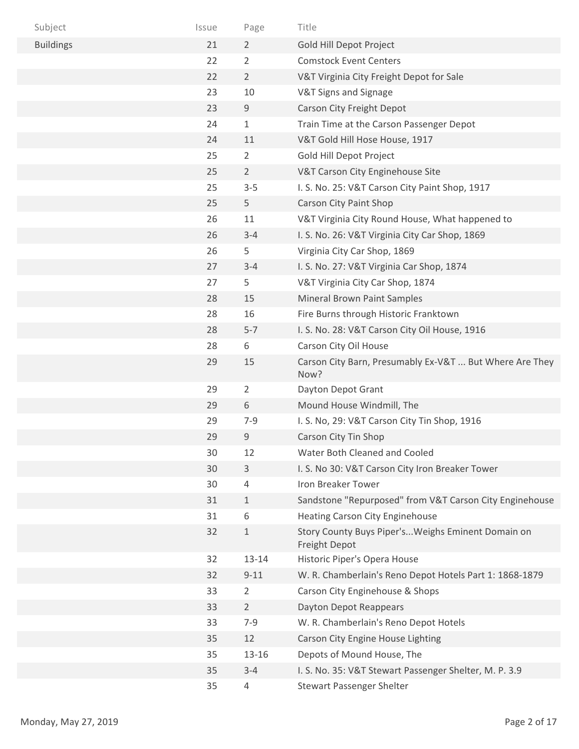| Subject          | Issue | Page           | Title                                                               |
|------------------|-------|----------------|---------------------------------------------------------------------|
| <b>Buildings</b> | 21    | $\overline{2}$ | Gold Hill Depot Project                                             |
|                  | 22    | $\overline{2}$ | <b>Comstock Event Centers</b>                                       |
|                  | 22    | $\overline{2}$ | V&T Virginia City Freight Depot for Sale                            |
|                  | 23    | 10             | V&T Signs and Signage                                               |
|                  | 23    | $9\,$          | Carson City Freight Depot                                           |
|                  | 24    | $\mathbf 1$    | Train Time at the Carson Passenger Depot                            |
|                  | 24    | 11             | V&T Gold Hill Hose House, 1917                                      |
|                  | 25    | $\overline{2}$ | Gold Hill Depot Project                                             |
|                  | 25    | $\overline{2}$ | V&T Carson City Enginehouse Site                                    |
|                  | 25    | $3 - 5$        | I. S. No. 25: V&T Carson City Paint Shop, 1917                      |
|                  | 25    | 5              | <b>Carson City Paint Shop</b>                                       |
|                  | 26    | 11             | V&T Virginia City Round House, What happened to                     |
|                  | 26    | $3 - 4$        | I. S. No. 26: V&T Virginia City Car Shop, 1869                      |
|                  | 26    | 5              | Virginia City Car Shop, 1869                                        |
|                  | 27    | $3 - 4$        | I. S. No. 27: V&T Virginia Car Shop, 1874                           |
|                  | 27    | 5              | V&T Virginia City Car Shop, 1874                                    |
|                  | 28    | 15             | Mineral Brown Paint Samples                                         |
|                  | 28    | 16             | Fire Burns through Historic Franktown                               |
|                  | 28    | $5 - 7$        | I. S. No. 28: V&T Carson City Oil House, 1916                       |
|                  | 28    | 6              | Carson City Oil House                                               |
|                  | 29    | 15             | Carson City Barn, Presumably Ex-V&T  But Where Are They<br>Now?     |
|                  | 29    | $\overline{2}$ | Dayton Depot Grant                                                  |
|                  | 29    | 6              | Mound House Windmill, The                                           |
|                  | 29    | $7 - 9$        | I. S. No, 29: V&T Carson City Tin Shop, 1916                        |
|                  | 29    | 9              | Carson City Tin Shop                                                |
|                  | 30    | 12             | Water Both Cleaned and Cooled                                       |
|                  | 30    | 3              | I. S. No 30: V&T Carson City Iron Breaker Tower                     |
|                  | 30    | 4              | Iron Breaker Tower                                                  |
|                  | 31    | $\mathbf{1}$   | Sandstone "Repurposed" from V&T Carson City Enginehouse             |
|                  | 31    | 6              | <b>Heating Carson City Enginehouse</b>                              |
|                  | 32    | $\mathbf 1$    | Story County Buys Piper's Weighs Eminent Domain on<br>Freight Depot |
|                  | 32    | $13 - 14$      | Historic Piper's Opera House                                        |
|                  | 32    | $9 - 11$       | W. R. Chamberlain's Reno Depot Hotels Part 1: 1868-1879             |
|                  | 33    | 2              | Carson City Enginehouse & Shops                                     |
|                  | 33    | $\overline{2}$ | Dayton Depot Reappears                                              |
|                  | 33    | $7 - 9$        | W. R. Chamberlain's Reno Depot Hotels                               |
|                  | 35    | 12             | Carson City Engine House Lighting                                   |
|                  | 35    | 13-16          | Depots of Mound House, The                                          |
|                  | 35    | $3 - 4$        | I. S. No. 35: V&T Stewart Passenger Shelter, M. P. 3.9              |
|                  | 35    | 4              | Stewart Passenger Shelter                                           |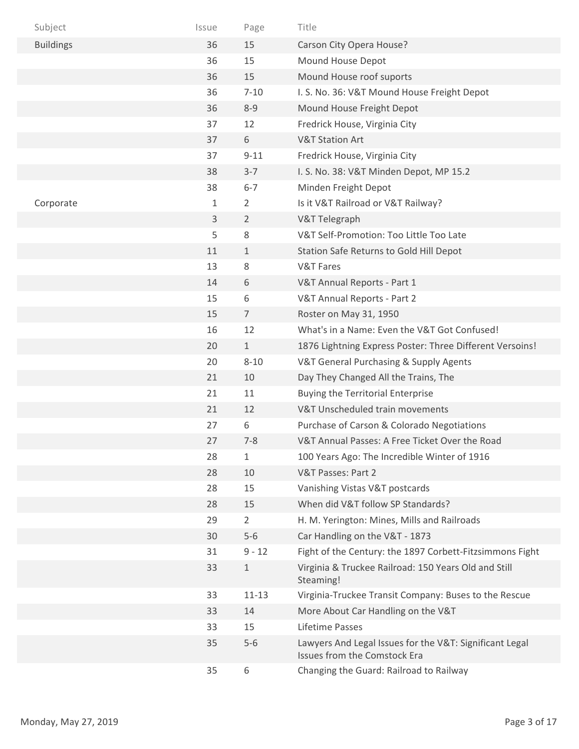| Subject          | Issue | Page           | Title                                                                                   |
|------------------|-------|----------------|-----------------------------------------------------------------------------------------|
| <b>Buildings</b> | 36    | 15             | Carson City Opera House?                                                                |
|                  | 36    | 15             | Mound House Depot                                                                       |
|                  | 36    | 15             | Mound House roof suports                                                                |
|                  | 36    | $7 - 10$       | I. S. No. 36: V&T Mound House Freight Depot                                             |
|                  | 36    | $8 - 9$        | Mound House Freight Depot                                                               |
|                  | 37    | 12             | Fredrick House, Virginia City                                                           |
|                  | 37    | 6              | <b>V&amp;T Station Art</b>                                                              |
|                  | 37    | $9 - 11$       | Fredrick House, Virginia City                                                           |
|                  | 38    | $3 - 7$        | I. S. No. 38: V&T Minden Depot, MP 15.2                                                 |
|                  | 38    | $6 - 7$        | Minden Freight Depot                                                                    |
| Corporate        | 1     | 2              | Is it V&T Railroad or V&T Railway?                                                      |
|                  | 3     | $\overline{2}$ | V&T Telegraph                                                                           |
|                  | 5     | 8              | V&T Self-Promotion: Too Little Too Late                                                 |
|                  | 11    | $\mathbf{1}$   | Station Safe Returns to Gold Hill Depot                                                 |
|                  | 13    | 8              | <b>V&amp;T Fares</b>                                                                    |
|                  | 14    | 6              | V&T Annual Reports - Part 1                                                             |
|                  | 15    | 6              | V&T Annual Reports - Part 2                                                             |
|                  | 15    | $\overline{7}$ | Roster on May 31, 1950                                                                  |
|                  | 16    | 12             | What's in a Name: Even the V&T Got Confused!                                            |
|                  | 20    | $\mathbf{1}$   | 1876 Lightning Express Poster: Three Different Versoins!                                |
|                  | 20    | $8 - 10$       | V&T General Purchasing & Supply Agents                                                  |
|                  | 21    | 10             | Day They Changed All the Trains, The                                                    |
|                  | 21    | 11             | <b>Buying the Territorial Enterprise</b>                                                |
|                  | 21    | 12             | V&T Unscheduled train movements                                                         |
|                  | 27    | 6              | Purchase of Carson & Colorado Negotiations                                              |
|                  | 27    | $7 - 8$        | V&T Annual Passes: A Free Ticket Over the Road                                          |
|                  | 28    | $\mathbf{1}$   | 100 Years Ago: The Incredible Winter of 1916                                            |
|                  | 28    | 10             | V&T Passes: Part 2                                                                      |
|                  | 28    | 15             | Vanishing Vistas V&T postcards                                                          |
|                  | 28    | 15             | When did V&T follow SP Standards?                                                       |
|                  | 29    | $\overline{2}$ | H. M. Yerington: Mines, Mills and Railroads                                             |
|                  | 30    | $5-6$          | Car Handling on the V&T - 1873                                                          |
|                  | 31    | $9 - 12$       | Fight of the Century: the 1897 Corbett-Fitzsimmons Fight                                |
|                  | 33    | $\mathbf{1}$   | Virginia & Truckee Railroad: 150 Years Old and Still<br>Steaming!                       |
|                  | 33    | $11 - 13$      | Virginia-Truckee Transit Company: Buses to the Rescue                                   |
|                  | 33    | 14             | More About Car Handling on the V&T                                                      |
|                  | 33    | 15             | Lifetime Passes                                                                         |
|                  | 35    | $5-6$          | Lawyers And Legal Issues for the V&T: Significant Legal<br>Issues from the Comstock Era |
|                  | 35    | 6              | Changing the Guard: Railroad to Railway                                                 |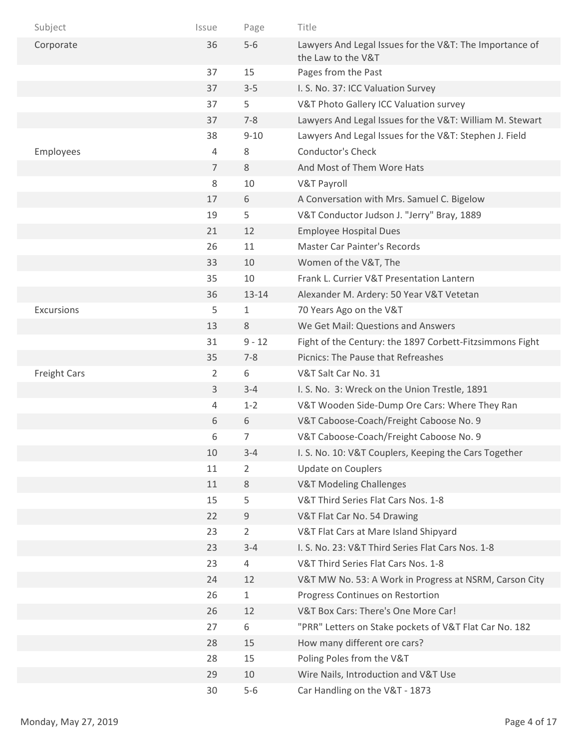| Subject             | Issue          | Page           | Title                                                                         |
|---------------------|----------------|----------------|-------------------------------------------------------------------------------|
| Corporate           | 36             | $5-6$          | Lawyers And Legal Issues for the V&T: The Importance of<br>the Law to the V&T |
|                     | 37             | 15             | Pages from the Past                                                           |
|                     | 37             | $3 - 5$        | I. S. No. 37: ICC Valuation Survey                                            |
|                     | 37             | 5              | V&T Photo Gallery ICC Valuation survey                                        |
|                     | 37             | $7 - 8$        | Lawyers And Legal Issues for the V&T: William M. Stewart                      |
|                     | 38             | $9 - 10$       | Lawyers And Legal Issues for the V&T: Stephen J. Field                        |
| Employees           | 4              | 8              | <b>Conductor's Check</b>                                                      |
|                     | $\overline{7}$ | 8              | And Most of Them Wore Hats                                                    |
|                     | 8              | 10             | <b>V&amp;T Payroll</b>                                                        |
|                     | 17             | 6              | A Conversation with Mrs. Samuel C. Bigelow                                    |
|                     | 19             | 5              | V&T Conductor Judson J. "Jerry" Bray, 1889                                    |
|                     | 21             | 12             | <b>Employee Hospital Dues</b>                                                 |
|                     | 26             | 11             | <b>Master Car Painter's Records</b>                                           |
|                     | 33             | 10             | Women of the V&T, The                                                         |
|                     | 35             | 10             | Frank L. Currier V&T Presentation Lantern                                     |
|                     | 36             | $13 - 14$      | Alexander M. Ardery: 50 Year V&T Vetetan                                      |
| Excursions          | 5              | 1              | 70 Years Ago on the V&T                                                       |
|                     | 13             | 8              | We Get Mail: Questions and Answers                                            |
|                     | 31             | $9 - 12$       | Fight of the Century: the 1897 Corbett-Fitzsimmons Fight                      |
|                     | 35             | $7 - 8$        | Picnics: The Pause that Refreashes                                            |
| <b>Freight Cars</b> | 2              | 6              | V&T Salt Car No. 31                                                           |
|                     | 3              | $3 - 4$        | I. S. No. 3: Wreck on the Union Trestle, 1891                                 |
|                     | 4              | $1 - 2$        | V&T Wooden Side-Dump Ore Cars: Where They Ran                                 |
|                     | 6              | 6              | V&T Caboose-Coach/Freight Caboose No. 9                                       |
|                     | 6              | 7              | V&T Caboose-Coach/Freight Caboose No. 9                                       |
|                     | 10             | $3 - 4$        | I. S. No. 10: V&T Couplers, Keeping the Cars Together                         |
|                     | 11             | $\overline{2}$ | Update on Couplers                                                            |
|                     | 11             | $8\,$          | <b>V&amp;T Modeling Challenges</b>                                            |
|                     | 15             | 5              | V&T Third Series Flat Cars Nos. 1-8                                           |
|                     | 22             | 9              | V&T Flat Car No. 54 Drawing                                                   |
|                     | 23             | $\overline{2}$ | V&T Flat Cars at Mare Island Shipyard                                         |
|                     | 23             | $3 - 4$        | I. S. No. 23: V&T Third Series Flat Cars Nos. 1-8                             |
|                     | 23             | $\overline{4}$ | V&T Third Series Flat Cars Nos. 1-8                                           |
|                     | 24             | 12             | V&T MW No. 53: A Work in Progress at NSRM, Carson City                        |
|                     | 26             | $\mathbf{1}$   | Progress Continues on Restortion                                              |
|                     | 26             | 12             | V&T Box Cars: There's One More Car!                                           |
|                     | 27             | 6              | "PRR" Letters on Stake pockets of V&T Flat Car No. 182                        |
|                     | 28             | 15             | How many different ore cars?                                                  |
|                     | 28             | 15             | Poling Poles from the V&T                                                     |
|                     | 29             | 10             | Wire Nails, Introduction and V&T Use                                          |
|                     | 30             | $5-6$          | Car Handling on the V&T - 1873                                                |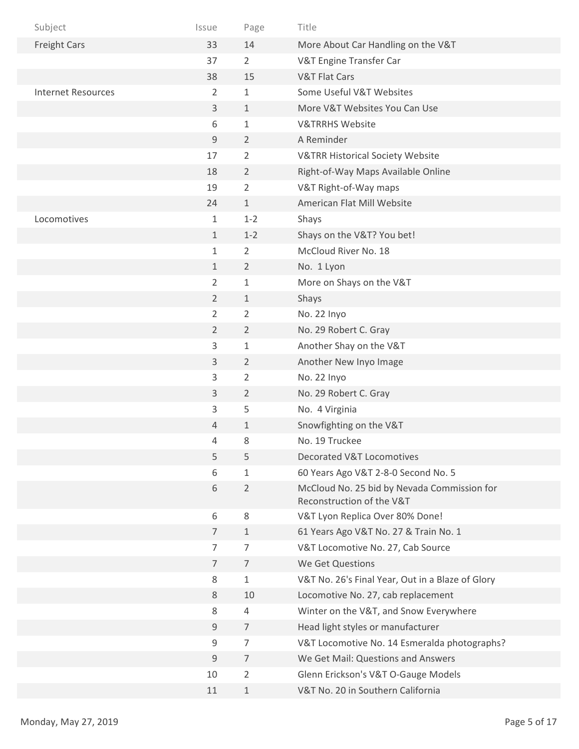| Subject                   | Issue          | Page           | Title                                                                    |
|---------------------------|----------------|----------------|--------------------------------------------------------------------------|
| <b>Freight Cars</b>       | 33             | 14             | More About Car Handling on the V&T                                       |
|                           | 37             | $\overline{2}$ | V&T Engine Transfer Car                                                  |
|                           | 38             | 15             | <b>V&amp;T Flat Cars</b>                                                 |
| <b>Internet Resources</b> | 2              | 1              | Some Useful V&T Websites                                                 |
|                           | 3              | $\mathbf{1}$   | More V&T Websites You Can Use                                            |
|                           | 6              | 1              | <b>V&amp;TRRHS Website</b>                                               |
|                           | $\mathsf 9$    | 2              | A Reminder                                                               |
|                           | 17             | $\overline{2}$ | <b>V&amp;TRR Historical Society Website</b>                              |
|                           | 18             | $\overline{2}$ | Right-of-Way Maps Available Online                                       |
|                           | 19             | 2              | V&T Right-of-Way maps                                                    |
|                           | 24             | 1              | American Flat Mill Website                                               |
| Locomotives               | $\mathbf{1}$   | $1 - 2$        | Shays                                                                    |
|                           | $\mathbf{1}$   | $1 - 2$        | Shays on the V&T? You bet!                                               |
|                           | $\mathbf{1}$   | 2              | McCloud River No. 18                                                     |
|                           | $\mathbf{1}$   | 2              | No. 1 Lyon                                                               |
|                           | $\overline{2}$ | $\mathbf{1}$   | More on Shays on the V&T                                                 |
|                           | $\overline{2}$ | 1              | Shays                                                                    |
|                           | $\overline{2}$ | 2              | No. 22 Inyo                                                              |
|                           | $\overline{2}$ | $\overline{2}$ | No. 29 Robert C. Gray                                                    |
|                           | 3              | 1              | Another Shay on the V&T                                                  |
|                           | $\mathsf{3}$   | $\overline{2}$ | Another New Inyo Image                                                   |
|                           | 3              | $\overline{2}$ | No. 22 Inyo                                                              |
|                           | 3              | $\overline{2}$ | No. 29 Robert C. Gray                                                    |
|                           | 3              | 5              | No. 4 Virginia                                                           |
|                           | 4              | $\mathbf 1$    | Snowfighting on the V&T                                                  |
|                           | 4              | 8              | No. 19 Truckee                                                           |
|                           | 5              | 5              | Decorated V&T Locomotives                                                |
|                           | 6              | $\mathbf{1}$   | 60 Years Ago V&T 2-8-0 Second No. 5                                      |
|                           | 6              | $\overline{2}$ | McCloud No. 25 bid by Nevada Commission for<br>Reconstruction of the V&T |
|                           | 6              | 8              | V&T Lyon Replica Over 80% Done!                                          |
|                           | $\overline{7}$ | $1\,$          | 61 Years Ago V&T No. 27 & Train No. 1                                    |
|                           | $\overline{7}$ | $\overline{7}$ | V&T Locomotive No. 27, Cab Source                                        |
|                           | $\overline{7}$ | $\overline{7}$ | We Get Questions                                                         |
|                           | 8              | 1              | V&T No. 26's Final Year, Out in a Blaze of Glory                         |
|                           | 8              | 10             | Locomotive No. 27, cab replacement                                       |
|                           | $\,8\,$        | 4              | Winter on the V&T, and Snow Everywhere                                   |
|                           | $\mathsf 9$    | $\overline{7}$ | Head light styles or manufacturer                                        |
|                           | $\mathsf 9$    | $\overline{7}$ | V&T Locomotive No. 14 Esmeralda photographs?                             |
|                           | $9\,$          | $\overline{7}$ | We Get Mail: Questions and Answers                                       |
|                           | 10             | $\overline{2}$ | Glenn Erickson's V&T O-Gauge Models                                      |
|                           | 11             | $\mathbf 1$    | V&T No. 20 in Southern California                                        |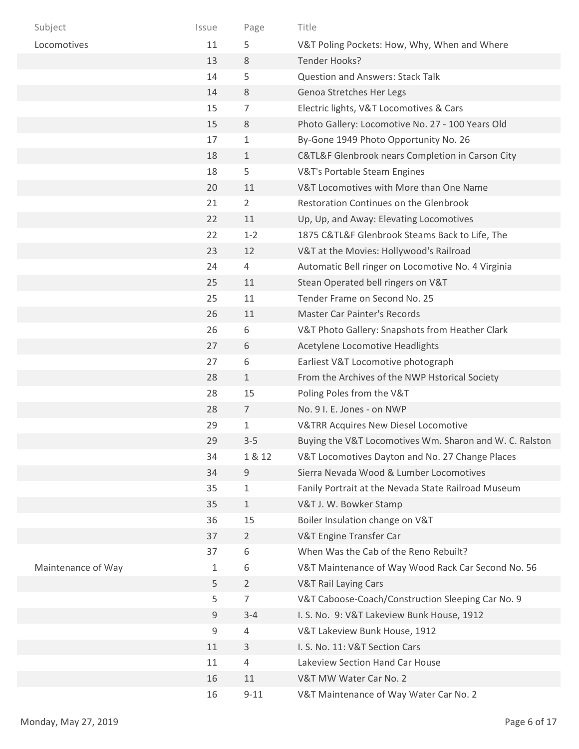| Subject            | Issue | Page           | Title                                                   |
|--------------------|-------|----------------|---------------------------------------------------------|
| Locomotives        | 11    | 5              | V&T Poling Pockets: How, Why, When and Where            |
|                    | 13    | 8              | Tender Hooks?                                           |
|                    | 14    | 5              | <b>Question and Answers: Stack Talk</b>                 |
|                    | 14    | 8              | Genoa Stretches Her Legs                                |
|                    | 15    | 7              | Electric lights, V&T Locomotives & Cars                 |
|                    | 15    | 8              | Photo Gallery: Locomotive No. 27 - 100 Years Old        |
|                    | 17    | 1              | By-Gone 1949 Photo Opportunity No. 26                   |
|                    | 18    | $\mathbf{1}$   | C&TL&F Glenbrook nears Completion in Carson City        |
|                    | 18    | 5              | V&T's Portable Steam Engines                            |
|                    | 20    | 11             | V&T Locomotives with More than One Name                 |
|                    | 21    | 2              | Restoration Continues on the Glenbrook                  |
|                    | 22    | 11             | Up, Up, and Away: Elevating Locomotives                 |
|                    | 22    | $1 - 2$        | 1875 C&TL&F Glenbrook Steams Back to Life, The          |
|                    | 23    | 12             | V&T at the Movies: Hollywood's Railroad                 |
|                    | 24    | 4              | Automatic Bell ringer on Locomotive No. 4 Virginia      |
|                    | 25    | 11             | Stean Operated bell ringers on V&T                      |
|                    | 25    | 11             | Tender Frame on Second No. 25                           |
|                    | 26    | 11             | <b>Master Car Painter's Records</b>                     |
|                    | 26    | 6              | V&T Photo Gallery: Snapshots from Heather Clark         |
|                    | 27    | 6              | Acetylene Locomotive Headlights                         |
|                    | 27    | 6              | Earliest V&T Locomotive photograph                      |
|                    | 28    | $\mathbf{1}$   | From the Archives of the NWP Hstorical Society          |
|                    | 28    | 15             | Poling Poles from the V&T                               |
|                    | 28    | $\overline{7}$ | No. 9 I. E. Jones - on NWP                              |
|                    | 29    | $\mathbf 1$    | <b>V&amp;TRR Acquires New Diesel Locomotive</b>         |
|                    | 29    | $3 - 5$        | Buying the V&T Locomotives Wm. Sharon and W. C. Ralston |
|                    | 34    | 1 & 12         | V&T Locomotives Dayton and No. 27 Change Places         |
|                    | 34    | $\mathsf 9$    | Sierra Nevada Wood & Lumber Locomotives                 |
|                    | 35    | 1              | Fanily Portrait at the Nevada State Railroad Museum     |
|                    | 35    | $\mathbf{1}$   | V&T J. W. Bowker Stamp                                  |
|                    | 36    | 15             | Boiler Insulation change on V&T                         |
|                    | 37    | $\overline{2}$ | V&T Engine Transfer Car                                 |
|                    | 37    | 6              | When Was the Cab of the Reno Rebuilt?                   |
| Maintenance of Way | 1     | 6              | V&T Maintenance of Way Wood Rack Car Second No. 56      |
|                    | 5     | $\overline{2}$ | <b>V&amp;T Rail Laying Cars</b>                         |
|                    | 5     | 7              | V&T Caboose-Coach/Construction Sleeping Car No. 9       |
|                    | 9     | $3 - 4$        | I. S. No. 9: V&T Lakeview Bunk House, 1912              |
|                    | 9     | 4              | V&T Lakeview Bunk House, 1912                           |
|                    | 11    | 3              | I. S. No. 11: V&T Section Cars                          |
|                    | 11    | 4              | Lakeview Section Hand Car House                         |
|                    | 16    | 11             | V&T MW Water Car No. 2                                  |
|                    | 16    | $9 - 11$       | V&T Maintenance of Way Water Car No. 2                  |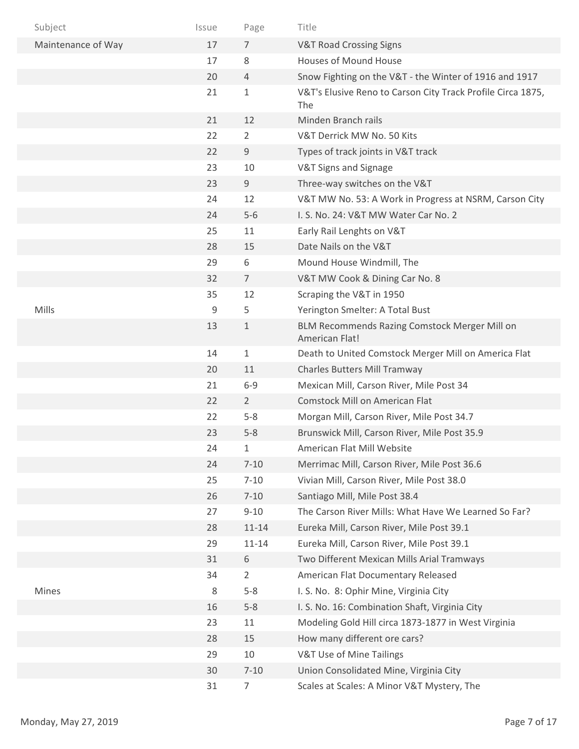| Subject            | Issue | Page           | Title                                                              |
|--------------------|-------|----------------|--------------------------------------------------------------------|
| Maintenance of Way | 17    | 7              | <b>V&amp;T Road Crossing Signs</b>                                 |
|                    | 17    | 8              | <b>Houses of Mound House</b>                                       |
|                    | 20    | $\overline{4}$ | Snow Fighting on the V&T - the Winter of 1916 and 1917             |
|                    | 21    | 1              | V&T's Elusive Reno to Carson City Track Profile Circa 1875,<br>The |
|                    | 21    | 12             | Minden Branch rails                                                |
|                    | 22    | 2              | V&T Derrick MW No. 50 Kits                                         |
|                    | 22    | 9              | Types of track joints in V&T track                                 |
|                    | 23    | 10             | V&T Signs and Signage                                              |
|                    | 23    | 9              | Three-way switches on the V&T                                      |
|                    | 24    | 12             | V&T MW No. 53: A Work in Progress at NSRM, Carson City             |
|                    | 24    | $5-6$          | I. S. No. 24: V&T MW Water Car No. 2                               |
|                    | 25    | 11             | Early Rail Lenghts on V&T                                          |
|                    | 28    | 15             | Date Nails on the V&T                                              |
|                    | 29    | 6              | Mound House Windmill, The                                          |
|                    | 32    | $\overline{7}$ | V&T MW Cook & Dining Car No. 8                                     |
|                    | 35    | 12             | Scraping the V&T in 1950                                           |
| Mills              | 9     | 5              | Yerington Smelter: A Total Bust                                    |
|                    | 13    | $\mathbf 1$    | BLM Recommends Razing Comstock Merger Mill on<br>American Flat!    |
|                    | 14    | $\mathbf 1$    | Death to United Comstock Merger Mill on America Flat               |
|                    | 20    | 11             | Charles Butters Mill Tramway                                       |
|                    | 21    | $6 - 9$        | Mexican Mill, Carson River, Mile Post 34                           |
|                    | 22    | $\overline{2}$ | <b>Comstock Mill on American Flat</b>                              |
|                    | 22    | $5-8$          | Morgan Mill, Carson River, Mile Post 34.7                          |
|                    | 23    | $5 - 8$        | Brunswick Mill, Carson River, Mile Post 35.9                       |
|                    | 24    | 1              | American Flat Mill Website                                         |
|                    | 24    | $7 - 10$       | Merrimac Mill, Carson River, Mile Post 36.6                        |
|                    | 25    | $7 - 10$       | Vivian Mill, Carson River, Mile Post 38.0                          |
|                    | 26    | $7 - 10$       | Santiago Mill, Mile Post 38.4                                      |
|                    | 27    | $9 - 10$       | The Carson River Mills: What Have We Learned So Far?               |
|                    | 28    | $11 - 14$      | Eureka Mill, Carson River, Mile Post 39.1                          |
|                    | 29    | $11 - 14$      | Eureka Mill, Carson River, Mile Post 39.1                          |
|                    | 31    | 6              | Two Different Mexican Mills Arial Tramways                         |
|                    | 34    | $\overline{2}$ | American Flat Documentary Released                                 |
| Mines              | 8     | $5-8$          | I. S. No. 8: Ophir Mine, Virginia City                             |
|                    | 16    | $5 - 8$        | I. S. No. 16: Combination Shaft, Virginia City                     |
|                    | 23    | 11             | Modeling Gold Hill circa 1873-1877 in West Virginia                |
|                    | 28    | 15             | How many different ore cars?                                       |
|                    | 29    | 10             | V&T Use of Mine Tailings                                           |
|                    | 30    | $7 - 10$       | Union Consolidated Mine, Virginia City                             |
|                    | 31    | 7              | Scales at Scales: A Minor V&T Mystery, The                         |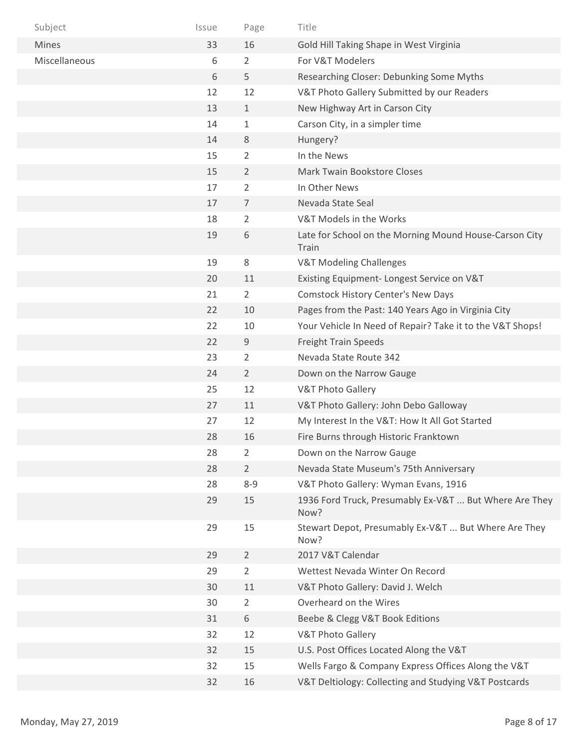| Subject       | Issue | Page           | Title                                                           |
|---------------|-------|----------------|-----------------------------------------------------------------|
| <b>Mines</b>  | 33    | 16             | Gold Hill Taking Shape in West Virginia                         |
| Miscellaneous | 6     | $\overline{2}$ | For V&T Modelers                                                |
|               | 6     | 5              | Researching Closer: Debunking Some Myths                        |
|               | 12    | 12             | V&T Photo Gallery Submitted by our Readers                      |
|               | 13    | $\mathbf{1}$   | New Highway Art in Carson City                                  |
|               | 14    | $\mathbf{1}$   | Carson City, in a simpler time                                  |
|               | 14    | 8              | Hungery?                                                        |
|               | 15    | 2              | In the News                                                     |
|               | 15    | $\overline{2}$ | Mark Twain Bookstore Closes                                     |
|               | 17    | 2              | In Other News                                                   |
|               | 17    | $\overline{7}$ | Nevada State Seal                                               |
|               | 18    | $\overline{2}$ | V&T Models in the Works                                         |
|               | 19    | 6              | Late for School on the Morning Mound House-Carson City<br>Train |
|               | 19    | 8              | <b>V&amp;T Modeling Challenges</b>                              |
|               | 20    | 11             | Existing Equipment-Longest Service on V&T                       |
|               | 21    | $\overline{2}$ | <b>Comstock History Center's New Days</b>                       |
|               | 22    | 10             | Pages from the Past: 140 Years Ago in Virginia City             |
|               | 22    | 10             | Your Vehicle In Need of Repair? Take it to the V&T Shops!       |
|               | 22    | 9              | <b>Freight Train Speeds</b>                                     |
|               | 23    | 2              | Nevada State Route 342                                          |
|               | 24    | $\overline{2}$ | Down on the Narrow Gauge                                        |
|               | 25    | 12             | <b>V&amp;T Photo Gallery</b>                                    |
|               | 27    | 11             | V&T Photo Gallery: John Debo Galloway                           |
|               | 27    | 12             | My Interest In the V&T: How It All Got Started                  |
|               | 28    | 16             | Fire Burns through Historic Franktown                           |
|               | 28    | $\overline{2}$ | Down on the Narrow Gauge                                        |
|               | 28    | $\overline{2}$ | Nevada State Museum's 75th Anniversary                          |
|               | 28    | $8 - 9$        | V&T Photo Gallery: Wyman Evans, 1916                            |
|               | 29    | 15             | 1936 Ford Truck, Presumably Ex-V&T  But Where Are They<br>Now?  |
|               | 29    | 15             | Stewart Depot, Presumably Ex-V&T  But Where Are They<br>Now?    |
|               | 29    | $\overline{2}$ | 2017 V&T Calendar                                               |
|               | 29    | $\overline{2}$ | Wettest Nevada Winter On Record                                 |
|               | 30    | $11\,$         | V&T Photo Gallery: David J. Welch                               |
|               | 30    | 2              | Overheard on the Wires                                          |
|               | 31    | 6              | Beebe & Clegg V&T Book Editions                                 |
|               | 32    | 12             | <b>V&amp;T Photo Gallery</b>                                    |
|               | 32    | 15             | U.S. Post Offices Located Along the V&T                         |
|               | 32    | 15             | Wells Fargo & Company Express Offices Along the V&T             |
|               | 32    | 16             | V&T Deltiology: Collecting and Studying V&T Postcards           |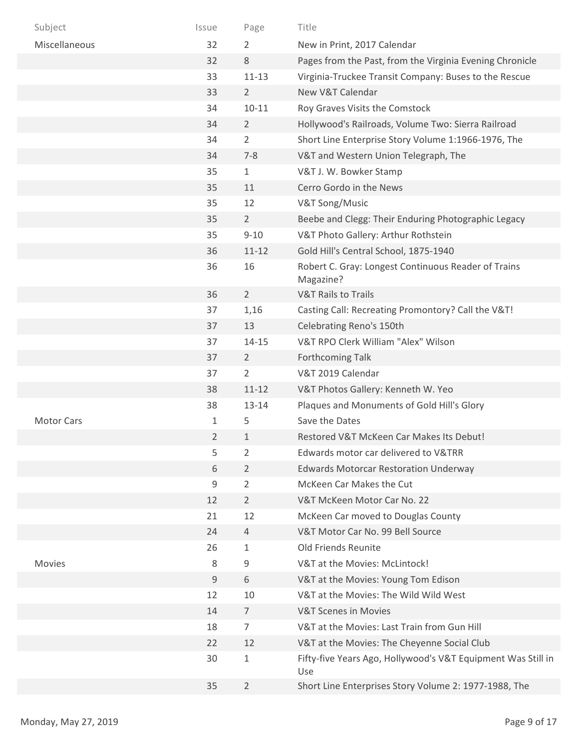| Subject           | Issue   | Page           | Title                                                               |
|-------------------|---------|----------------|---------------------------------------------------------------------|
| Miscellaneous     | 32      | 2              | New in Print, 2017 Calendar                                         |
|                   | 32      | 8              | Pages from the Past, from the Virginia Evening Chronicle            |
|                   | 33      | $11 - 13$      | Virginia-Truckee Transit Company: Buses to the Rescue               |
|                   | 33      | $\overline{2}$ | New V&T Calendar                                                    |
|                   | 34      | $10 - 11$      | Roy Graves Visits the Comstock                                      |
|                   | 34      | $\overline{2}$ | Hollywood's Railroads, Volume Two: Sierra Railroad                  |
|                   | 34      | $\overline{2}$ | Short Line Enterprise Story Volume 1:1966-1976, The                 |
|                   | 34      | $7 - 8$        | V&T and Western Union Telegraph, The                                |
|                   | 35      | $\mathbf{1}$   | V&T J. W. Bowker Stamp                                              |
|                   | 35      | 11             | Cerro Gordo in the News                                             |
|                   | 35      | 12             | V&T Song/Music                                                      |
|                   | 35      | $\overline{2}$ | Beebe and Clegg: Their Enduring Photographic Legacy                 |
|                   | 35      | $9 - 10$       | V&T Photo Gallery: Arthur Rothstein                                 |
|                   | 36      | $11 - 12$      | Gold Hill's Central School, 1875-1940                               |
|                   | 36      | 16             | Robert C. Gray: Longest Continuous Reader of Trains<br>Magazine?    |
|                   | 36      | $\overline{2}$ | <b>V&amp;T Rails to Trails</b>                                      |
|                   | 37      | 1,16           | Casting Call: Recreating Promontory? Call the V&T!                  |
|                   | 37      | 13             | Celebrating Reno's 150th                                            |
|                   | 37      | $14 - 15$      | V&T RPO Clerk William "Alex" Wilson                                 |
|                   | 37      | $\overline{2}$ | <b>Forthcoming Talk</b>                                             |
|                   | 37      | $\overline{2}$ | V&T 2019 Calendar                                                   |
|                   | 38      | $11 - 12$      | V&T Photos Gallery: Kenneth W. Yeo                                  |
|                   | 38      | $13 - 14$      | Plaques and Monuments of Gold Hill's Glory                          |
| <b>Motor Cars</b> | 1       | 5              | Save the Dates                                                      |
|                   | 2       | $\mathbf{1}$   | Restored V&T McKeen Car Makes Its Debut!                            |
|                   | 5       | 2              | Edwards motor car delivered to V&TRR                                |
|                   | 6       | $\overline{2}$ | <b>Edwards Motorcar Restoration Underway</b>                        |
|                   | 9       | $\overline{2}$ | McKeen Car Makes the Cut                                            |
|                   | 12      | $\overline{2}$ | V&T McKeen Motor Car No. 22                                         |
|                   | 21      | 12             | McKeen Car moved to Douglas County                                  |
|                   | 24      | 4              | V&T Motor Car No. 99 Bell Source                                    |
|                   | 26      | $\mathbf{1}$   | Old Friends Reunite                                                 |
| <b>Movies</b>     | $\,8\,$ | 9              | V&T at the Movies: McLintock!                                       |
|                   | 9       | 6              | V&T at the Movies: Young Tom Edison                                 |
|                   | 12      | 10             | V&T at the Movies: The Wild Wild West                               |
|                   | 14      | $\overline{7}$ | <b>V&amp;T Scenes in Movies</b>                                     |
|                   | 18      | $\overline{7}$ | V&T at the Movies: Last Train from Gun Hill                         |
|                   | 22      | 12             | V&T at the Movies: The Cheyenne Social Club                         |
|                   | 30      | $\mathbf{1}$   | Fifty-five Years Ago, Hollywood's V&T Equipment Was Still in<br>Use |
|                   | 35      | $\overline{2}$ | Short Line Enterprises Story Volume 2: 1977-1988, The               |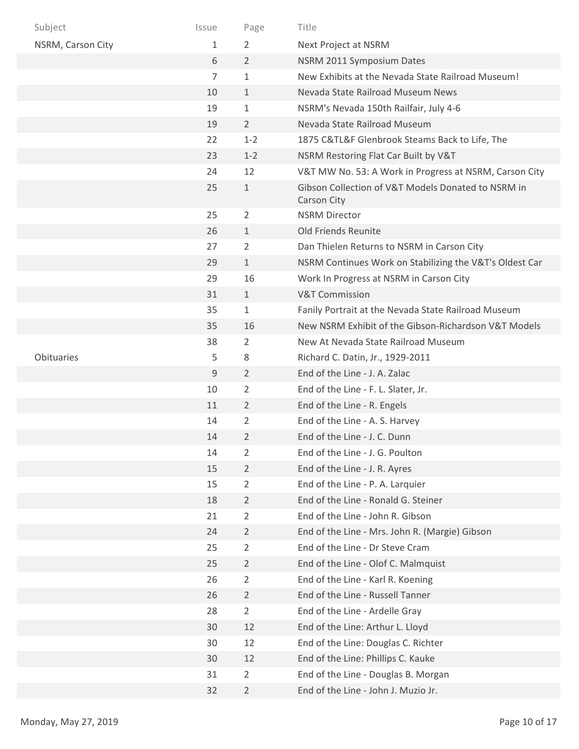| Subject           | Issue          | Page           | Title                                                                    |
|-------------------|----------------|----------------|--------------------------------------------------------------------------|
| NSRM, Carson City | 1              | 2              | Next Project at NSRM                                                     |
|                   | 6              | $\overline{2}$ | NSRM 2011 Symposium Dates                                                |
|                   | $\overline{7}$ | $\mathbf 1$    | New Exhibits at the Nevada State Railroad Museum!                        |
|                   | 10             | $\mathbf{1}$   | Nevada State Railroad Museum News                                        |
|                   | 19             | $\mathbf{1}$   | NSRM's Nevada 150th Railfair, July 4-6                                   |
|                   | 19             | $\overline{2}$ | Nevada State Railroad Museum                                             |
|                   | 22             | $1 - 2$        | 1875 C&TL&F Glenbrook Steams Back to Life, The                           |
|                   | 23             | $1 - 2$        | NSRM Restoring Flat Car Built by V&T                                     |
|                   | 24             | 12             | V&T MW No. 53: A Work in Progress at NSRM, Carson City                   |
|                   | 25             | $\mathbf{1}$   | Gibson Collection of V&T Models Donated to NSRM in<br><b>Carson City</b> |
|                   | 25             | $\overline{2}$ | <b>NSRM Director</b>                                                     |
|                   | 26             | $\mathbf{1}$   | Old Friends Reunite                                                      |
|                   | 27             | $\overline{2}$ | Dan Thielen Returns to NSRM in Carson City                               |
|                   | 29             | $\mathbf{1}$   | NSRM Continues Work on Stabilizing the V&T's Oldest Car                  |
|                   | 29             | 16             | Work In Progress at NSRM in Carson City                                  |
|                   | 31             | $\mathbf{1}$   | <b>V&amp;T Commission</b>                                                |
|                   | 35             | $\mathbf 1$    | Fanily Portrait at the Nevada State Railroad Museum                      |
|                   | 35             | 16             | New NSRM Exhibit of the Gibson-Richardson V&T Models                     |
|                   | 38             | $\overline{2}$ | New At Nevada State Railroad Museum                                      |
| Obituaries        | 5              | 8              | Richard C. Datin, Jr., 1929-2011                                         |
|                   | 9              | $\overline{2}$ | End of the Line - J. A. Zalac                                            |
|                   | 10             | $\overline{2}$ | End of the Line - F. L. Slater, Jr.                                      |
|                   | 11             | $\overline{2}$ | End of the Line - R. Engels                                              |
|                   | 14             | 2              | End of the Line - A. S. Harvey                                           |
|                   | 14             | 2              | End of the Line - J. C. Dunn                                             |
|                   | 14             | $\overline{2}$ | End of the Line - J. G. Poulton                                          |
|                   | 15             | $\overline{2}$ | End of the Line - J. R. Ayres                                            |
|                   | 15             | $\overline{2}$ | End of the Line - P. A. Larquier                                         |
|                   | 18             | $\overline{2}$ | End of the Line - Ronald G. Steiner                                      |
|                   | 21             | $\overline{2}$ | End of the Line - John R. Gibson                                         |
|                   | 24             | $\overline{2}$ | End of the Line - Mrs. John R. (Margie) Gibson                           |
|                   | 25             | $\overline{2}$ | End of the Line - Dr Steve Cram                                          |
|                   | 25             | $\overline{2}$ | End of the Line - Olof C. Malmquist                                      |
|                   | 26             | 2              | End of the Line - Karl R. Koening                                        |
|                   | 26             | $\overline{2}$ | End of the Line - Russell Tanner                                         |
|                   | 28             | $\overline{2}$ | End of the Line - Ardelle Gray                                           |
|                   | 30             | 12             | End of the Line: Arthur L. Lloyd                                         |
|                   | 30             | 12             | End of the Line: Douglas C. Richter                                      |
|                   | 30             | 12             | End of the Line: Phillips C. Kauke                                       |
|                   | 31             | 2              | End of the Line - Douglas B. Morgan                                      |
|                   | 32             | $\overline{2}$ | End of the Line - John J. Muzio Jr.                                      |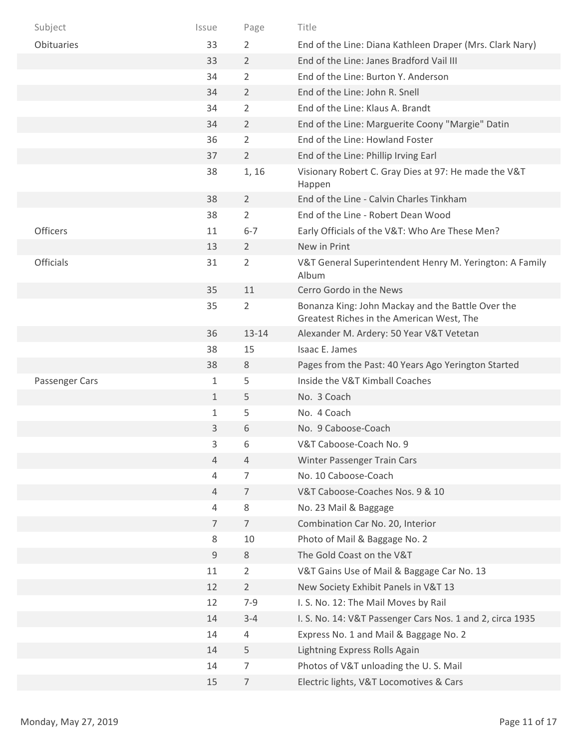| Subject          | Issue          | Page           | Title                                                                                          |
|------------------|----------------|----------------|------------------------------------------------------------------------------------------------|
| Obituaries       | 33             | 2              | End of the Line: Diana Kathleen Draper (Mrs. Clark Nary)                                       |
|                  | 33             | $\overline{2}$ | End of the Line: Janes Bradford Vail III                                                       |
|                  | 34             | $\overline{2}$ | End of the Line: Burton Y. Anderson                                                            |
|                  | 34             | $\overline{2}$ | End of the Line: John R. Snell                                                                 |
|                  | 34             | $\overline{2}$ | End of the Line: Klaus A. Brandt                                                               |
|                  | 34             | 2              | End of the Line: Marguerite Coony "Margie" Datin                                               |
|                  | 36             | $\overline{2}$ | End of the Line: Howland Foster                                                                |
|                  | 37             | $\overline{2}$ | End of the Line: Phillip Irving Earl                                                           |
|                  | 38             | 1, 16          | Visionary Robert C. Gray Dies at 97: He made the V&T<br>Happen                                 |
|                  | 38             | $\overline{2}$ | End of the Line - Calvin Charles Tinkham                                                       |
|                  | 38             | $\overline{2}$ | End of the Line - Robert Dean Wood                                                             |
| Officers         | 11             | $6 - 7$        | Early Officials of the V&T: Who Are These Men?                                                 |
|                  | 13             | $\overline{2}$ | New in Print                                                                                   |
| <b>Officials</b> | 31             | $\overline{2}$ | V&T General Superintendent Henry M. Yerington: A Family<br>Album                               |
|                  | 35             | 11             | Cerro Gordo in the News                                                                        |
|                  | 35             | $\overline{2}$ | Bonanza King: John Mackay and the Battle Over the<br>Greatest Riches in the American West, The |
|                  | 36             | 13-14          | Alexander M. Ardery: 50 Year V&T Vetetan                                                       |
|                  | 38             | 15             | Isaac E. James                                                                                 |
|                  | 38             | 8              | Pages from the Past: 40 Years Ago Yerington Started                                            |
| Passenger Cars   | 1              | 5              | Inside the V&T Kimball Coaches                                                                 |
|                  | $\mathbf{1}$   | 5              | No. 3 Coach                                                                                    |
|                  | 1              | 5              | No. 4 Coach                                                                                    |
|                  | 3              | 6              | No. 9 Caboose-Coach                                                                            |
|                  | 3              | 6              | V&T Caboose-Coach No. 9                                                                        |
|                  | $\overline{4}$ | 4              | Winter Passenger Train Cars                                                                    |
|                  | $\overline{4}$ | 7              | No. 10 Caboose-Coach                                                                           |
|                  | $\overline{4}$ | 7              | V&T Caboose-Coaches Nos. 9 & 10                                                                |
|                  | $\overline{4}$ | 8              | No. 23 Mail & Baggage                                                                          |
|                  | $\overline{7}$ | $\overline{7}$ | Combination Car No. 20, Interior                                                               |
|                  | 8              | 10             | Photo of Mail & Baggage No. 2                                                                  |
|                  | 9              | 8              | The Gold Coast on the V&T                                                                      |
|                  | 11             | $\overline{2}$ | V&T Gains Use of Mail & Baggage Car No. 13                                                     |
|                  | 12             | $\overline{2}$ | New Society Exhibit Panels in V&T 13                                                           |
|                  | 12             | $7 - 9$        | I. S. No. 12: The Mail Moves by Rail                                                           |
|                  | 14             | $3 - 4$        | I. S. No. 14: V&T Passenger Cars Nos. 1 and 2, circa 1935                                      |
|                  | 14             | 4              | Express No. 1 and Mail & Baggage No. 2                                                         |
|                  | 14             | 5              | Lightning Express Rolls Again                                                                  |
|                  | 14             | $\overline{7}$ | Photos of V&T unloading the U.S. Mail                                                          |
|                  | 15             | $\overline{7}$ | Electric lights, V&T Locomotives & Cars                                                        |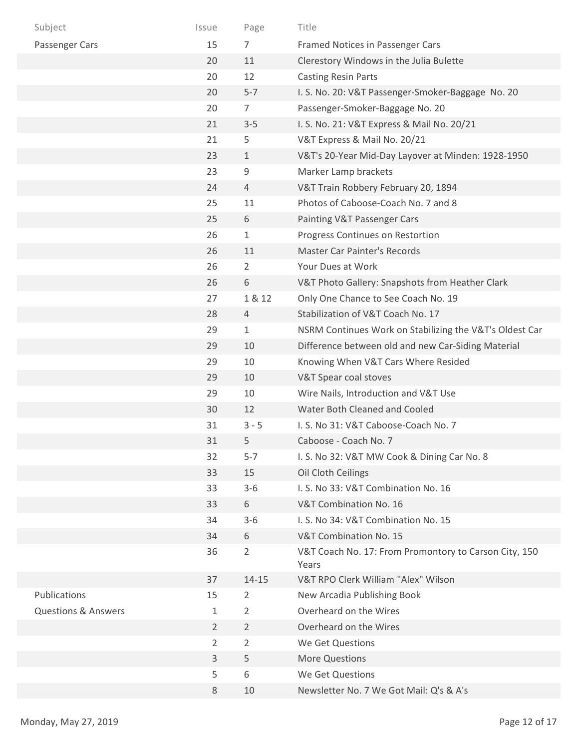| Subject                        | Issue          | Page           | Title                                                          |
|--------------------------------|----------------|----------------|----------------------------------------------------------------|
| Passenger Cars                 | 15             | 7              | Framed Notices in Passenger Cars                               |
|                                | 20             | 11             | Clerestory Windows in the Julia Bulette                        |
|                                | 20             | 12             | <b>Casting Resin Parts</b>                                     |
|                                | 20             | $5 - 7$        | I. S. No. 20: V&T Passenger-Smoker-Baggage No. 20              |
|                                | 20             | 7              | Passenger-Smoker-Baggage No. 20                                |
|                                | 21             | $3 - 5$        | I. S. No. 21: V&T Express & Mail No. 20/21                     |
|                                | 21             | 5              | V&T Express & Mail No. 20/21                                   |
|                                | 23             | $\mathbf{1}$   | V&T's 20-Year Mid-Day Layover at Minden: 1928-1950             |
|                                | 23             | 9              | Marker Lamp brackets                                           |
|                                | 24             | $\overline{4}$ | V&T Train Robbery February 20, 1894                            |
|                                | 25             | 11             | Photos of Caboose-Coach No. 7 and 8                            |
|                                | 25             | 6              | Painting V&T Passenger Cars                                    |
|                                | 26             | $\mathbf{1}$   | Progress Continues on Restortion                               |
|                                | 26             | 11             | <b>Master Car Painter's Records</b>                            |
|                                | 26             | 2              | Your Dues at Work                                              |
|                                | 26             | 6              | V&T Photo Gallery: Snapshots from Heather Clark                |
|                                | 27             | 1 & 12         | Only One Chance to See Coach No. 19                            |
|                                | 28             | $\overline{4}$ | Stabilization of V&T Coach No. 17                              |
|                                | 29             | $\mathbf 1$    | NSRM Continues Work on Stabilizing the V&T's Oldest Car        |
|                                | 29             | 10             | Difference between old and new Car-Siding Material             |
|                                | 29             | 10             | Knowing When V&T Cars Where Resided                            |
|                                | 29             | 10             | V&T Spear coal stoves                                          |
|                                | 29             | 10             | Wire Nails, Introduction and V&T Use                           |
|                                | 30             | 12             | Water Both Cleaned and Cooled                                  |
|                                | 31             | $3 - 5$        | I. S. No 31: V&T Caboose-Coach No. 7                           |
|                                | 31             | 5              | Caboose - Coach No. 7                                          |
|                                | 32             | $5 - 7$        | I. S. No 32: V&T MW Cook & Dining Car No. 8                    |
|                                | 33             | 15             | Oil Cloth Ceilings                                             |
|                                | 33             | $3 - 6$        | I. S. No 33: V&T Combination No. 16                            |
|                                | 33             | 6              | V&T Combination No. 16                                         |
|                                | 34             | $3 - 6$        | I. S. No 34: V&T Combination No. 15                            |
|                                | 34             | 6              | V&T Combination No. 15                                         |
|                                | 36             | $\overline{2}$ | V&T Coach No. 17: From Promontory to Carson City, 150<br>Years |
|                                | 37             | $14 - 15$      | V&T RPO Clerk William "Alex" Wilson                            |
| Publications                   | 15             | 2              | New Arcadia Publishing Book                                    |
| <b>Questions &amp; Answers</b> | 1              | $\overline{2}$ | Overheard on the Wires                                         |
|                                | $\overline{2}$ | $\overline{2}$ | Overheard on the Wires                                         |
|                                | $\overline{2}$ | $\overline{2}$ | We Get Questions                                               |
|                                | 3              | 5              | More Questions                                                 |
|                                | 5              | 6              | We Get Questions                                               |
|                                | 8              | 10             | Newsletter No. 7 We Got Mail: Q's & A's                        |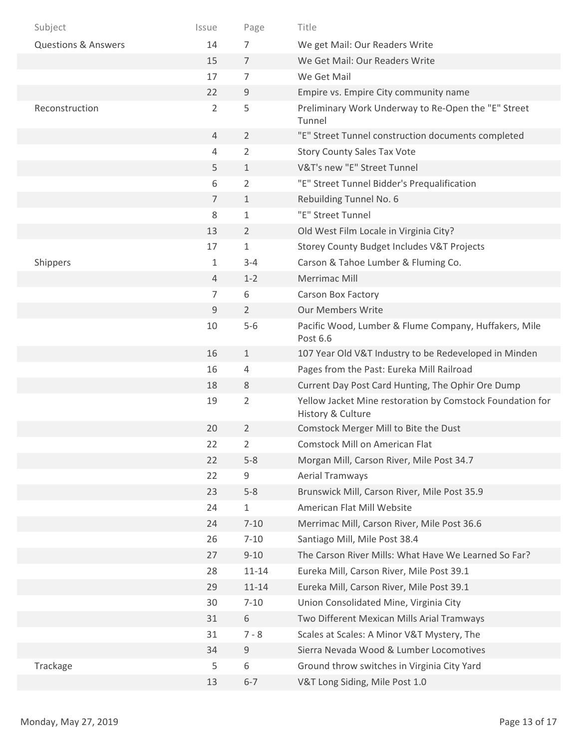| Subject                        | Issue          | Page           | Title                                                                          |
|--------------------------------|----------------|----------------|--------------------------------------------------------------------------------|
| <b>Questions &amp; Answers</b> | 14             | 7              | We get Mail: Our Readers Write                                                 |
|                                | 15             | $\overline{7}$ | We Get Mail: Our Readers Write                                                 |
|                                | 17             | 7              | We Get Mail                                                                    |
|                                | 22             | 9              | Empire vs. Empire City community name                                          |
| Reconstruction                 | $\overline{2}$ | 5              | Preliminary Work Underway to Re-Open the "E" Street<br>Tunnel                  |
|                                | 4              | $\overline{2}$ | "E" Street Tunnel construction documents completed                             |
|                                | 4              | $\overline{2}$ | <b>Story County Sales Tax Vote</b>                                             |
|                                | 5              | $\mathbf{1}$   | V&T's new "E" Street Tunnel                                                    |
|                                | 6              | $\overline{2}$ | "E" Street Tunnel Bidder's Prequalification                                    |
|                                | $\overline{7}$ | $\mathbf{1}$   | Rebuilding Tunnel No. 6                                                        |
|                                | 8              | $\mathbf{1}$   | "E" Street Tunnel                                                              |
|                                | 13             | $\overline{2}$ | Old West Film Locale in Virginia City?                                         |
|                                | 17             | $\mathbf{1}$   | Storey County Budget Includes V&T Projects                                     |
| Shippers                       | 1              | $3 - 4$        | Carson & Tahoe Lumber & Fluming Co.                                            |
|                                | $\overline{4}$ | $1 - 2$        | Merrimac Mill                                                                  |
|                                | 7              | 6              | Carson Box Factory                                                             |
|                                | 9              | $\overline{2}$ | <b>Our Members Write</b>                                                       |
|                                | 10             | $5-6$          | Pacific Wood, Lumber & Flume Company, Huffakers, Mile<br>Post 6.6              |
|                                | 16             | $\mathbf{1}$   | 107 Year Old V&T Industry to be Redeveloped in Minden                          |
|                                | 16             | 4              | Pages from the Past: Eureka Mill Railroad                                      |
|                                | 18             | 8              | Current Day Post Card Hunting, The Ophir Ore Dump                              |
|                                | 19             | $\overline{2}$ | Yellow Jacket Mine restoration by Comstock Foundation for<br>History & Culture |
|                                | 20             | $\overline{2}$ | Comstock Merger Mill to Bite the Dust                                          |
|                                | 22             | 2              | Comstock Mill on American Flat                                                 |
|                                | 22             | $5 - 8$        | Morgan Mill, Carson River, Mile Post 34.7                                      |
|                                | 22             | 9              | <b>Aerial Tramways</b>                                                         |
|                                | 23             | $5 - 8$        | Brunswick Mill, Carson River, Mile Post 35.9                                   |
|                                | 24             | $1\,$          | American Flat Mill Website                                                     |
|                                | 24             | $7 - 10$       | Merrimac Mill, Carson River, Mile Post 36.6                                    |
|                                | 26             | $7 - 10$       | Santiago Mill, Mile Post 38.4                                                  |
|                                | 27             | $9 - 10$       | The Carson River Mills: What Have We Learned So Far?                           |
|                                | 28             | $11 - 14$      | Eureka Mill, Carson River, Mile Post 39.1                                      |
|                                | 29             | $11 - 14$      | Eureka Mill, Carson River, Mile Post 39.1                                      |
|                                | 30             | $7 - 10$       | Union Consolidated Mine, Virginia City                                         |
|                                | 31             | 6              | Two Different Mexican Mills Arial Tramways                                     |
|                                | 31             | $7 - 8$        | Scales at Scales: A Minor V&T Mystery, The                                     |
|                                | 34             | $\mathsf g$    | Sierra Nevada Wood & Lumber Locomotives                                        |
| Trackage                       | 5              | 6              | Ground throw switches in Virginia City Yard                                    |
|                                | 13             | $6 - 7$        | V&T Long Siding, Mile Post 1.0                                                 |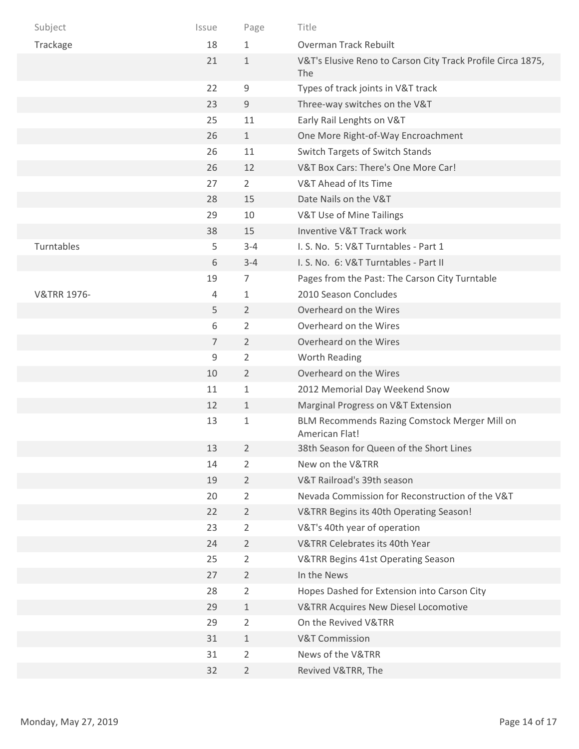| Subject                | Issue          | Page           | Title                                                              |
|------------------------|----------------|----------------|--------------------------------------------------------------------|
| Trackage               | 18             | $\mathbf{1}$   | Overman Track Rebuilt                                              |
|                        | 21             | $\mathbf{1}$   | V&T's Elusive Reno to Carson City Track Profile Circa 1875,<br>The |
|                        | 22             | 9              | Types of track joints in V&T track                                 |
|                        | 23             | 9              | Three-way switches on the V&T                                      |
|                        | 25             | 11             | Early Rail Lenghts on V&T                                          |
|                        | 26             | $1\,$          | One More Right-of-Way Encroachment                                 |
|                        | 26             | 11             | Switch Targets of Switch Stands                                    |
|                        | 26             | 12             | V&T Box Cars: There's One More Car!                                |
|                        | 27             | $\overline{2}$ | V&T Ahead of Its Time                                              |
|                        | 28             | 15             | Date Nails on the V&T                                              |
|                        | 29             | 10             | V&T Use of Mine Tailings                                           |
|                        | 38             | 15             | Inventive V&T Track work                                           |
| Turntables             | 5              | $3 - 4$        | I. S. No. 5: V&T Turntables - Part 1                               |
|                        | 6              | $3 - 4$        | I. S. No. 6: V&T Turntables - Part II                              |
|                        | 19             | 7              | Pages from the Past: The Carson City Turntable                     |
| <b>V&amp;TRR 1976-</b> | 4              | $\mathbf{1}$   | 2010 Season Concludes                                              |
|                        | 5              | $\overline{2}$ | Overheard on the Wires                                             |
|                        | $6\,$          | $\overline{2}$ | Overheard on the Wires                                             |
|                        | $\overline{7}$ | $\overline{2}$ | Overheard on the Wires                                             |
|                        | 9              | 2              | Worth Reading                                                      |
|                        | 10             | $\overline{2}$ | Overheard on the Wires                                             |
|                        | 11             | $\mathbf{1}$   | 2012 Memorial Day Weekend Snow                                     |
|                        | 12             | $\mathbf{1}$   | Marginal Progress on V&T Extension                                 |
|                        | 13             | $\mathbf{1}$   | BLM Recommends Razing Comstock Merger Mill on<br>American Flat!    |
|                        | 13             | $\overline{2}$ | 38th Season for Queen of the Short Lines                           |
|                        | 14             | $\overline{2}$ | New on the V&TRR                                                   |
|                        | 19             | $\overline{2}$ | V&T Railroad's 39th season                                         |
|                        | 20             | $\overline{2}$ | Nevada Commission for Reconstruction of the V&T                    |
|                        | 22             | $\overline{2}$ | V&TRR Begins its 40th Operating Season!                            |
|                        | 23             | 2              | V&T's 40th year of operation                                       |
|                        | 24             | $\overline{2}$ | V&TRR Celebrates its 40th Year                                     |
|                        | 25             | $\overline{2}$ | V&TRR Begins 41st Operating Season                                 |
|                        | 27             | $\overline{2}$ | In the News                                                        |
|                        | 28             | $\overline{2}$ | Hopes Dashed for Extension into Carson City                        |
|                        | 29             | $\mathbf 1$    | <b>V&amp;TRR Acquires New Diesel Locomotive</b>                    |
|                        | 29             | $\overline{2}$ | On the Revived V&TRR                                               |
|                        | 31             | $\mathbf 1$    | <b>V&amp;T Commission</b>                                          |
|                        | 31             | $\overline{2}$ | News of the V&TRR                                                  |
|                        | 32             | $\overline{2}$ | Revived V&TRR, The                                                 |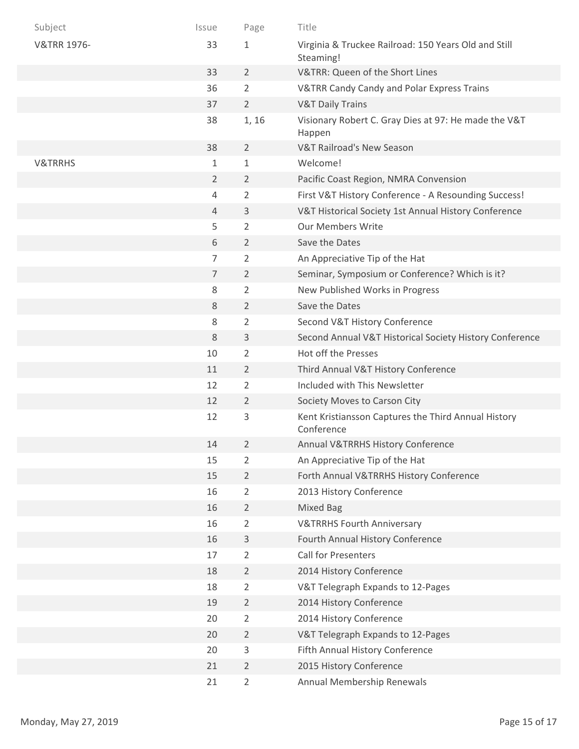| Subject                | Issue          | Page           | Title                                                             |
|------------------------|----------------|----------------|-------------------------------------------------------------------|
| <b>V&amp;TRR 1976-</b> | 33             | $\mathbf{1}$   | Virginia & Truckee Railroad: 150 Years Old and Still<br>Steaming! |
|                        | 33             | $\overline{2}$ | V&TRR: Queen of the Short Lines                                   |
|                        | 36             | 2              | V&TRR Candy Candy and Polar Express Trains                        |
|                        | 37             | $\overline{2}$ | <b>V&amp;T Daily Trains</b>                                       |
|                        | 38             | 1, 16          | Visionary Robert C. Gray Dies at 97: He made the V&T<br>Happen    |
|                        | 38             | $\overline{2}$ | V&T Railroad's New Season                                         |
| <b>V&amp;TRRHS</b>     | 1              | $\mathbf 1$    | Welcome!                                                          |
|                        | $\overline{2}$ | $\overline{2}$ | Pacific Coast Region, NMRA Convension                             |
|                        | 4              | $\overline{2}$ | First V&T History Conference - A Resounding Success!              |
|                        | $\overline{4}$ | 3              | V&T Historical Society 1st Annual History Conference              |
|                        | 5              | 2              | <b>Our Members Write</b>                                          |
|                        | 6              | $\overline{2}$ | Save the Dates                                                    |
|                        | $\overline{7}$ | $\overline{2}$ | An Appreciative Tip of the Hat                                    |
|                        | $\overline{7}$ | $\overline{2}$ | Seminar, Symposium or Conference? Which is it?                    |
|                        | 8              | 2              | New Published Works in Progress                                   |
|                        | 8              | $\overline{2}$ | Save the Dates                                                    |
|                        | 8              | $\overline{2}$ | Second V&T History Conference                                     |
|                        | 8              | 3              | Second Annual V&T Historical Society History Conference           |
|                        | 10             | $\overline{2}$ | Hot off the Presses                                               |
|                        | 11             | $\overline{2}$ | Third Annual V&T History Conference                               |
|                        | 12             | $\overline{2}$ | Included with This Newsletter                                     |
|                        | 12             | $\overline{2}$ | Society Moves to Carson City                                      |
|                        | 12             | 3              | Kent Kristiansson Captures the Third Annual History<br>Conference |
|                        | 14             | $\overline{2}$ | Annual V&TRRHS History Conference                                 |
|                        | 15             | 2              | An Appreciative Tip of the Hat                                    |
|                        | 15             | $\overline{2}$ | Forth Annual V&TRRHS History Conference                           |
|                        | 16             | $\overline{2}$ | 2013 History Conference                                           |
|                        | 16             | $\overline{2}$ | Mixed Bag                                                         |
|                        | 16             | $\overline{2}$ | <b>V&amp;TRRHS Fourth Anniversary</b>                             |
|                        | 16             | 3              | Fourth Annual History Conference                                  |
|                        | 17             | $\overline{2}$ | Call for Presenters                                               |
|                        | 18             | $\overline{2}$ | 2014 History Conference                                           |
|                        | 18             | $\overline{2}$ | V&T Telegraph Expands to 12-Pages                                 |
|                        | 19             | $\overline{2}$ | 2014 History Conference                                           |
|                        | 20             | 2              | 2014 History Conference                                           |
|                        | 20             | $\overline{2}$ | V&T Telegraph Expands to 12-Pages                                 |
|                        | 20             | 3              | Fifth Annual History Conference                                   |
|                        | 21             | $\overline{2}$ | 2015 History Conference                                           |
|                        | 21             | $\overline{2}$ | Annual Membership Renewals                                        |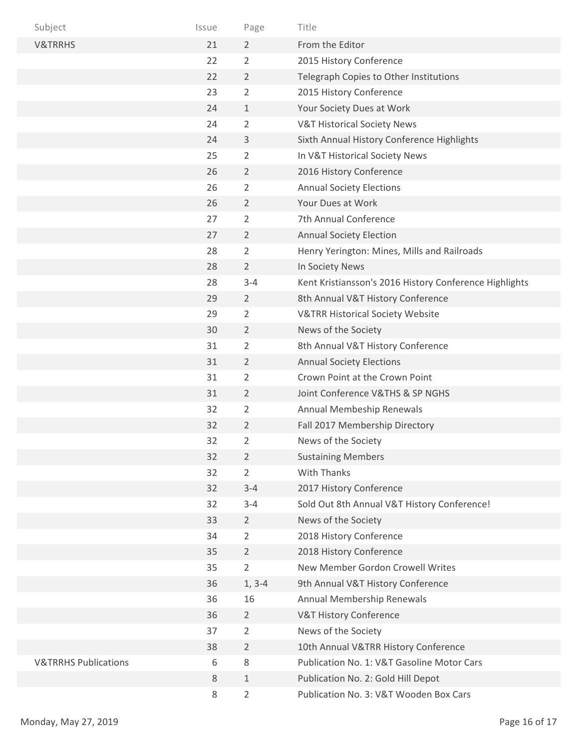| Subject                         | Issue | Page           | Title                                                  |
|---------------------------------|-------|----------------|--------------------------------------------------------|
| <b>V&amp;TRRHS</b>              | 21    | $\overline{2}$ | From the Editor                                        |
|                                 | 22    | $\overline{2}$ | 2015 History Conference                                |
|                                 | 22    | $\overline{2}$ | Telegraph Copies to Other Institutions                 |
|                                 | 23    | 2              | 2015 History Conference                                |
|                                 | 24    | 1              | Your Society Dues at Work                              |
|                                 | 24    | $\overline{2}$ | <b>V&amp;T Historical Society News</b>                 |
|                                 | 24    | 3              | Sixth Annual History Conference Highlights             |
|                                 | 25    | 2              | In V&T Historical Society News                         |
|                                 | 26    | $\overline{2}$ | 2016 History Conference                                |
|                                 | 26    | $\overline{2}$ | <b>Annual Society Elections</b>                        |
|                                 | 26    | $\overline{2}$ | Your Dues at Work                                      |
|                                 | 27    | $\overline{2}$ | 7th Annual Conference                                  |
|                                 | 27    | $\overline{2}$ | <b>Annual Society Election</b>                         |
|                                 | 28    | 2              | Henry Yerington: Mines, Mills and Railroads            |
|                                 | 28    | $\overline{2}$ | In Society News                                        |
|                                 | 28    | $3 - 4$        | Kent Kristiansson's 2016 History Conference Highlights |
|                                 | 29    | $\overline{2}$ | 8th Annual V&T History Conference                      |
|                                 | 29    | 2              | <b>V&amp;TRR Historical Society Website</b>            |
|                                 | 30    | $\overline{2}$ | News of the Society                                    |
|                                 | 31    | $\overline{2}$ | 8th Annual V&T History Conference                      |
|                                 | 31    | $\overline{2}$ | <b>Annual Society Elections</b>                        |
|                                 | 31    | $\overline{2}$ | Crown Point at the Crown Point                         |
|                                 | 31    | $\overline{2}$ | Joint Conference V&THS & SP NGHS                       |
|                                 | 32    | 2              | Annual Membeship Renewals                              |
|                                 | 32    | 2              | Fall 2017 Membership Directory                         |
|                                 | 32    | 2              | News of the Society                                    |
|                                 | 32    | $\overline{2}$ | <b>Sustaining Members</b>                              |
|                                 | 32    | $\overline{2}$ | <b>With Thanks</b>                                     |
|                                 | 32    | $3 - 4$        | 2017 History Conference                                |
|                                 | 32    | $3 - 4$        | Sold Out 8th Annual V&T History Conference!            |
|                                 | 33    | $\overline{2}$ | News of the Society                                    |
|                                 | 34    | $\overline{2}$ | 2018 History Conference                                |
|                                 | 35    | $\overline{2}$ | 2018 History Conference                                |
|                                 | 35    | $\overline{2}$ | New Member Gordon Crowell Writes                       |
|                                 | 36    | $1, 3-4$       | 9th Annual V&T History Conference                      |
|                                 | 36    | 16             | Annual Membership Renewals                             |
|                                 | 36    | $\overline{2}$ | V&T History Conference                                 |
|                                 | 37    | 2              | News of the Society                                    |
|                                 | 38    | $\overline{2}$ | 10th Annual V&TRR History Conference                   |
| <b>V&amp;TRRHS Publications</b> | 6     | 8              | Publication No. 1: V&T Gasoline Motor Cars             |
|                                 | 8     | $\mathbf{1}$   | Publication No. 2: Gold Hill Depot                     |
|                                 | 8     | $\overline{2}$ | Publication No. 3: V&T Wooden Box Cars                 |